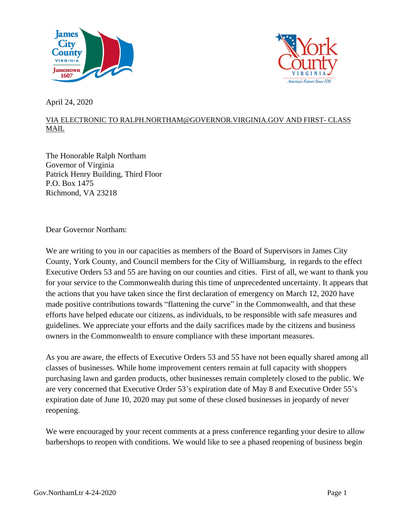



April 24, 2020

## VIA ELECTRONIC TO [RALPH.NORTHAM@GOVERNOR.VIRGINIA.GOV](mailto:ralph.northam@governor.virginia.gov) AND FIRST- CLASS MAIL

The Honorable Ralph Northam Governor of Virginia Patrick Henry Building, Third Floor P.O. Box 1475 Richmond, VA 23218

Dear Governor Northam:

We are writing to you in our capacities as members of the Board of Supervisors in James City County, York County, and Council members for the City of Williamsburg, in regards to the effect Executive Orders 53 and 55 are having on our counties and cities. First of all, we want to thank you for your service to the Commonwealth during this time of unprecedented uncertainty. It appears that the actions that you have taken since the first declaration of emergency on March 12, 2020 have made positive contributions towards "flattening the curve" in the Commonwealth, and that these efforts have helped educate our citizens, as individuals, to be responsible with safe measures and guidelines. We appreciate your efforts and the daily sacrifices made by the citizens and business owners in the Commonwealth to ensure compliance with these important measures.

As you are aware, the effects of Executive Orders 53 and 55 have not been equally shared among all classes of businesses. While home improvement centers remain at full capacity with shoppers purchasing lawn and garden products, other businesses remain completely closed to the public. We are very concerned that Executive Order 53's expiration date of May 8 and Executive Order 55's expiration date of June 10, 2020 may put some of these closed businesses in jeopardy of never reopening.

We were encouraged by your recent comments at a press conference regarding your desire to allow barbershops to reopen with conditions. We would like to see a phased reopening of business begin